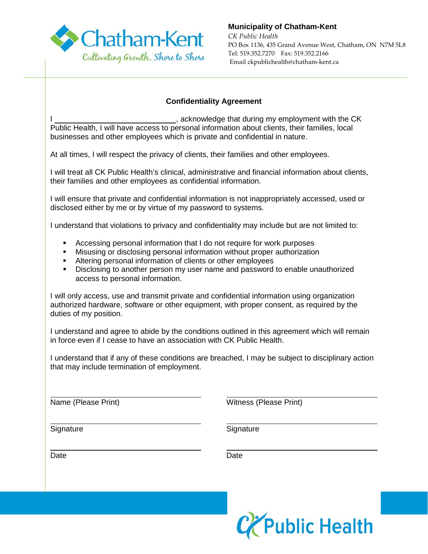

**Municipality of Chatham-Kent**

*CK Public Health* PO Box 1136, 435 Grand Avenue West, Chatham, ON N7M 5L8 Tel: 519.352.7270 Fax: 519.352.2166 Email ckpublichealth@chatham-kent.ca

## **Confidentiality Agreement**

 $\overline{\phantom{a}}$ , acknowledge that during my employment with the CK Public Health, I will have access to personal information about clients, their families, local businesses and other employees which is private and confidential in nature.

At all times, I will respect the privacy of clients, their families and other employees.

I will treat all CK Public Health's clinical, administrative and financial information about clients, their families and other employees as confidential information.

I will ensure that private and confidential information is not inappropriately accessed, used or disclosed either by me or by virtue of my password to systems.

I understand that violations to privacy and confidentiality may include but are not limited to:

- Accessing personal information that I do not require for work purposes
- Misusing or disclosing personal information without proper authorization
- Altering personal information of clients or other employees
- **Disclosing to another person my user name and password to enable unauthorized** access to personal information.

I will only access, use and transmit private and confidential information using organization authorized hardware, software or other equipment, with proper consent, as required by the duties of my position.

I understand and agree to abide by the conditions outlined in this agreement which will remain in force even if I cease to have an association with CK Public Health.

I understand that if any of these conditions are breached, I may be subject to disciplinary action that may include termination of employment.

Name (Please Print) Witness (Please Print)

 $\overline{a}$ Signature Signature Signature

Date **Date Date Date Date Date** 

 $\overline{a}$ 

 $\overline{a}$